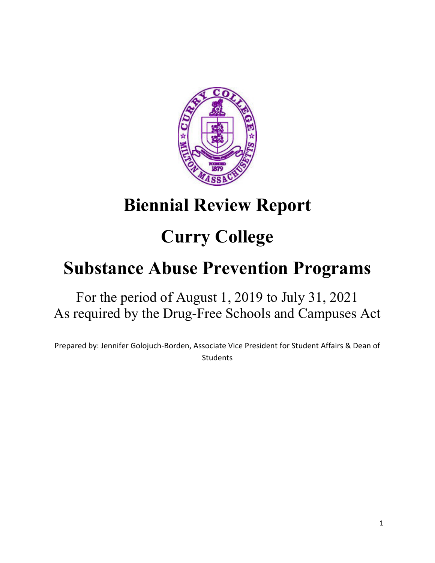

## **Biennial Review Report**

# **Curry College**

## **Substance Abuse Prevention Programs**

## For the period of August 1, 2019 to July 31, 2021 As required by the Drug-Free Schools and Campuses Act

Prepared by: Jennifer Golojuch-Borden, Associate Vice President for Student Affairs & Dean of **Students**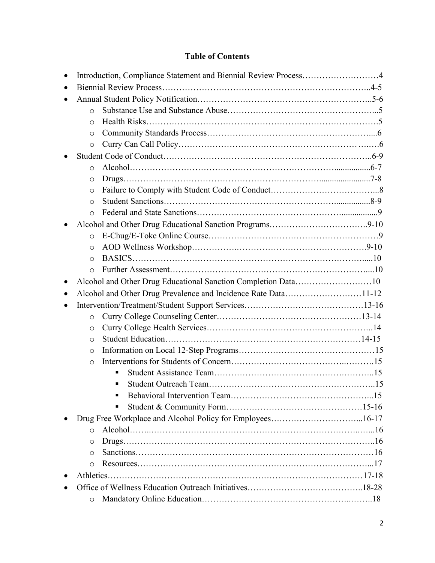## **Table of Contents**

|           | Introduction, Compliance Statement and Biennial Review Process4 |  |
|-----------|-----------------------------------------------------------------|--|
|           |                                                                 |  |
|           |                                                                 |  |
|           | $\Omega$                                                        |  |
|           | $\circ$                                                         |  |
|           | $\circ$                                                         |  |
|           | $\circ$                                                         |  |
|           |                                                                 |  |
|           | $\circ$                                                         |  |
|           | $\circ$                                                         |  |
|           | $\circ$                                                         |  |
|           | $\circ$                                                         |  |
|           | $\circ$                                                         |  |
|           |                                                                 |  |
|           | $\Omega$                                                        |  |
|           | $\circ$                                                         |  |
|           | $\circ$                                                         |  |
|           | $\Omega$                                                        |  |
|           | Alcohol and Other Drug Educational Sanction Completion Data10   |  |
| $\bullet$ | Alcohol and Other Drug Prevalence and Incidence Rate Data11-12  |  |
|           |                                                                 |  |
|           | $\circ$                                                         |  |
|           |                                                                 |  |
|           | $\circ$                                                         |  |
|           | $\circ$                                                         |  |
|           | $\circ$                                                         |  |
|           | $\circ$                                                         |  |
|           |                                                                 |  |
|           |                                                                 |  |
|           |                                                                 |  |
|           |                                                                 |  |
|           |                                                                 |  |
|           | $\circ$                                                         |  |
|           | O                                                               |  |
|           | $\circ$                                                         |  |
|           | $\circ$                                                         |  |
|           |                                                                 |  |
|           |                                                                 |  |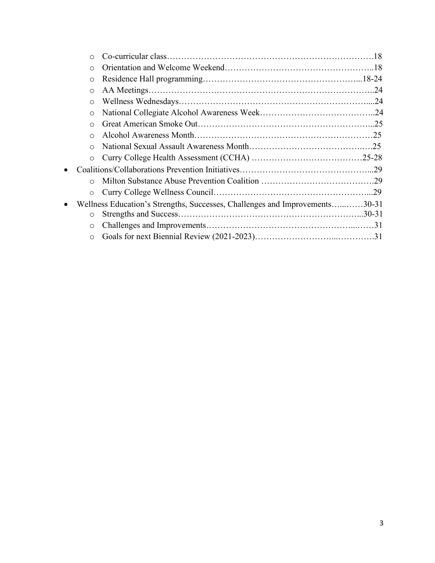|           | $\Omega$   |                                                                             |  |
|-----------|------------|-----------------------------------------------------------------------------|--|
|           | $\circ$    |                                                                             |  |
|           | $\circ$    |                                                                             |  |
|           | $\circ$    |                                                                             |  |
|           | $\circ$    |                                                                             |  |
|           | $\circ$    |                                                                             |  |
|           | $\bigcirc$ |                                                                             |  |
|           | $\bigcirc$ |                                                                             |  |
|           | $\Omega$   |                                                                             |  |
|           | $\circ$    |                                                                             |  |
| $\bullet$ |            |                                                                             |  |
|           | $\bigcap$  |                                                                             |  |
|           | $\circ$    |                                                                             |  |
| $\bullet$ |            | Wellness Education's Strengths, Successes, Challenges and Improvements30-31 |  |
|           | $\circ$    |                                                                             |  |
|           | $\circ$    |                                                                             |  |
|           | $\Omega$   |                                                                             |  |
|           |            |                                                                             |  |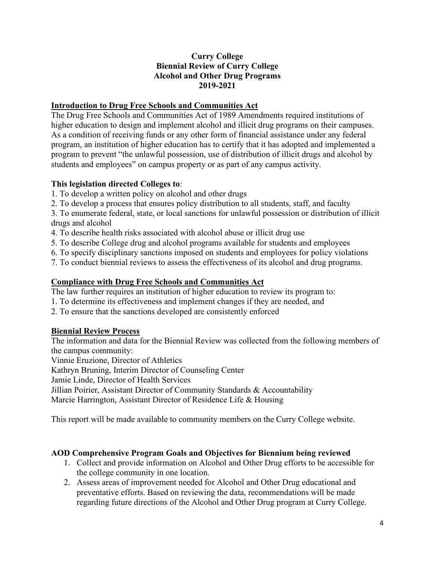#### **Curry College Biennial Review of Curry College Alcohol and Other Drug Programs 2019-2021**

#### **Introduction to Drug Free Schools and Communities Act**

The Drug Free Schools and Communities Act of 1989 Amendments required institutions of higher education to design and implement alcohol and illicit drug programs on their campuses. As a condition of receiving funds or any other form of financial assistance under any federal program, an institution of higher education has to certify that it has adopted and implemented a program to prevent "the unlawful possession, use of distribution of illicit drugs and alcohol by students and employees" on campus property or as part of any campus activity.

## **This legislation directed Colleges to**:

- 1. To develop a written policy on alcohol and other drugs
- 2. To develop a process that ensures policy distribution to all students, staff, and faculty

3. To enumerate federal, state, or local sanctions for unlawful possession or distribution of illicit drugs and alcohol

- 4. To describe health risks associated with alcohol abuse or illicit drug use
- 5. To describe College drug and alcohol programs available for students and employees
- 6. To specify disciplinary sanctions imposed on students and employees for policy violations
- 7. To conduct biennial reviews to assess the effectiveness of its alcohol and drug programs.

## **Compliance with Drug Free Schools and Communities Act**

The law further requires an institution of higher education to review its program to:

- 1. To determine its effectiveness and implement changes if they are needed, and
- 2. To ensure that the sanctions developed are consistently enforced

## **Biennial Review Process**

The information and data for the Biennial Review was collected from the following members of the campus community:

Vinnie Eruzione, Director of Athletics

Kathryn Bruning, Interim Director of Counseling Center

Jamie Linde, Director of Health Services

Jillian Poirier, Assistant Director of Community Standards & Accountability

Marcie Harrington, Assistant Director of Residence Life & Housing

This report will be made available to community members on the Curry College website.

#### **AOD Comprehensive Program Goals and Objectives for Biennium being reviewed**

- 1. Collect and provide information on Alcohol and Other Drug efforts to be accessible for the college community in one location.
- 2. Assess areas of improvement needed for Alcohol and Other Drug educational and preventative efforts. Based on reviewing the data, recommendations will be made regarding future directions of the Alcohol and Other Drug program at Curry College.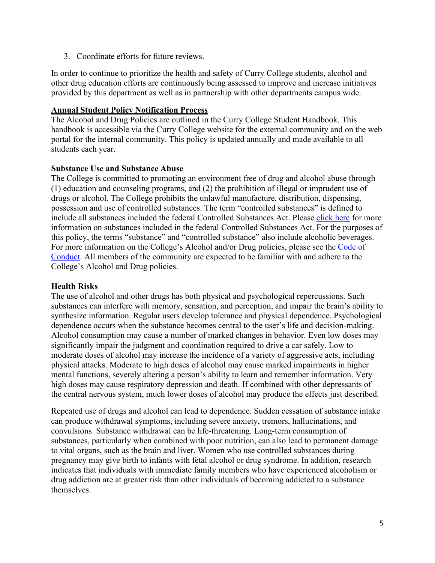3. Coordinate efforts for future reviews.

In order to continue to prioritize the health and safety of Curry College students, alcohol and other drug education efforts are continuously being assessed to improve and increase initiatives provided by this department as well as in partnership with other departments campus wide.

#### **Annual Student Policy Notification Process**

The Alcohol and Drug Policies are outlined in the Curry College Student Handbook. This handbook is accessible via the Curry College website for the external community and on the web portal for the internal community. This policy is updated annually and made available to all students each year.

#### **Substance Use and Substance Abuse**

The College is committed to promoting an environment free of drug and alcohol abuse through (1) education and counseling programs, and (2) the prohibition of illegal or imprudent use of drugs or alcohol. The College prohibits the unlawful manufacture, distribution, dispensing, possession and use of controlled substances. The term "controlled substances" is defined to include all substances included the federal Controlled Substances Act. Please [click here](https://www.dea.gov/drug-information/csa) for more information on substances included in the federal Controlled Substances Act. For the purposes of this policy, the terms "substance" and "controlled substance" also include alcoholic beverages. For more information on the College's Alcohol and/or Drug policies, please see the [Code of](https://www.curry.edu/assets/Documents/Student-Life/handbook.pdf)  [Conduct.](https://www.curry.edu/assets/Documents/Student-Life/handbook.pdf) All members of the community are expected to be familiar with and adhere to the College's Alcohol and Drug policies.

#### **Health Risks**

The use of alcohol and other drugs has both physical and psychological repercussions. Such substances can interfere with memory, sensation, and perception, and impair the brain's ability to synthesize information. Regular users develop tolerance and physical dependence. Psychological dependence occurs when the substance becomes central to the user's life and decision-making. Alcohol consumption may cause a number of marked changes in behavior. Even low doses may significantly impair the judgment and coordination required to drive a car safely. Low to moderate doses of alcohol may increase the incidence of a variety of aggressive acts, including physical attacks. Moderate to high doses of alcohol may cause marked impairments in higher mental functions, severely altering a person's ability to learn and remember information. Very high doses may cause respiratory depression and death. If combined with other depressants of the central nervous system, much lower doses of alcohol may produce the effects just described.

Repeated use of drugs and alcohol can lead to dependence. Sudden cessation of substance intake can produce withdrawal symptoms, including severe anxiety, tremors, hallucinations, and convulsions. Substance withdrawal can be life-threatening. Long-term consumption of substances, particularly when combined with poor nutrition, can also lead to permanent damage to vital organs, such as the brain and liver. Women who use controlled substances during pregnancy may give birth to infants with fetal alcohol or drug syndrome. In addition, research indicates that individuals with immediate family members who have experienced alcoholism or drug addiction are at greater risk than other individuals of becoming addicted to a substance themselves.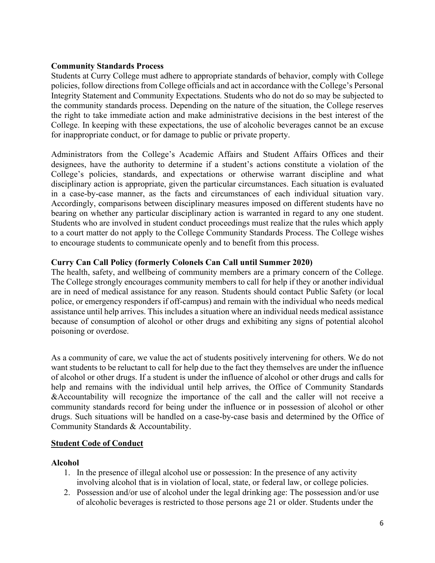#### **Community Standards Process**

Students at Curry College must adhere to appropriate standards of behavior, comply with College policies, follow directions from College officials and act in accordance with the College's Personal Integrity Statement and Community Expectations. Students who do not do so may be subjected to the community standards process. Depending on the nature of the situation, the College reserves the right to take immediate action and make administrative decisions in the best interest of the College. In keeping with these expectations, the use of alcoholic beverages cannot be an excuse for inappropriate conduct, or for damage to public or private property.

Administrators from the College's Academic Affairs and Student Affairs Offices and their designees, have the authority to determine if a student's actions constitute a violation of the College's policies, standards, and expectations or otherwise warrant discipline and what disciplinary action is appropriate, given the particular circumstances. Each situation is evaluated in a case-by-case manner, as the facts and circumstances of each individual situation vary. Accordingly, comparisons between disciplinary measures imposed on different students have no bearing on whether any particular disciplinary action is warranted in regard to any one student. Students who are involved in student conduct proceedings must realize that the rules which apply to a court matter do not apply to the College Community Standards Process. The College wishes to encourage students to communicate openly and to benefit from this process.

#### **Curry Can Call Policy (formerly Colonels Can Call until Summer 2020)**

The health, safety, and wellbeing of community members are a primary concern of the College. The College strongly encourages community members to call for help if they or another individual are in need of medical assistance for any reason. Students should contact Public Safety (or local police, or emergency responders if off-campus) and remain with the individual who needs medical assistance until help arrives. This includes a situation where an individual needs medical assistance because of consumption of alcohol or other drugs and exhibiting any signs of potential alcohol poisoning or overdose.

As a community of care, we value the act of students positively intervening for others. We do not want students to be reluctant to call for help due to the fact they themselves are under the influence of alcohol or other drugs. If a student is under the influence of alcohol or other drugs and calls for help and remains with the individual until help arrives, the Office of Community Standards &Accountability will recognize the importance of the call and the caller will not receive a community standards record for being under the influence or in possession of alcohol or other drugs. Such situations will be handled on a case-by-case basis and determined by the Office of Community Standards & Accountability.

#### **Student Code of Conduct**

#### **Alcohol**

- 1. In the presence of illegal alcohol use or possession: In the presence of any activity involving alcohol that is in violation of local, state, or federal law, or college policies.
- 2. Possession and/or use of alcohol under the legal drinking age: The possession and/or use of alcoholic beverages is restricted to those persons age 21 or older. Students under the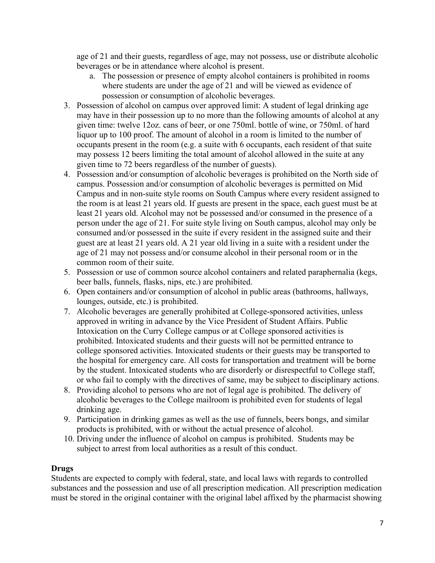age of 21 and their guests, regardless of age, may not possess, use or distribute alcoholic beverages or be in attendance where alcohol is present.

- a. The possession or presence of empty alcohol containers is prohibited in rooms where students are under the age of 21 and will be viewed as evidence of possession or consumption of alcoholic beverages.
- 3. Possession of alcohol on campus over approved limit: A student of legal drinking age may have in their possession up to no more than the following amounts of alcohol at any given time: twelve 12oz. cans of beer, or one 750ml. bottle of wine, or 750ml. of hard liquor up to 100 proof. The amount of alcohol in a room is limited to the number of occupants present in the room (e.g. a suite with 6 occupants, each resident of that suite may possess 12 beers limiting the total amount of alcohol allowed in the suite at any given time to 72 beers regardless of the number of guests).
- 4. Possession and/or consumption of alcoholic beverages is prohibited on the North side of campus. Possession and/or consumption of alcoholic beverages is permitted on Mid Campus and in non-suite style rooms on South Campus where every resident assigned to the room is at least 21 years old. If guests are present in the space, each guest must be at least 21 years old. Alcohol may not be possessed and/or consumed in the presence of a person under the age of 21. For suite style living on South campus, alcohol may only be consumed and/or possessed in the suite if every resident in the assigned suite and their guest are at least 21 years old. A 21 year old living in a suite with a resident under the age of 21 may not possess and/or consume alcohol in their personal room or in the common room of their suite.
- 5. Possession or use of common source alcohol containers and related paraphernalia (kegs, beer balls, funnels, flasks, nips, etc.) are prohibited.
- 6. Open containers and/or consumption of alcohol in public areas (bathrooms, hallways, lounges, outside, etc.) is prohibited.
- 7. Alcoholic beverages are generally prohibited at College-sponsored activities, unless approved in writing in advance by the Vice President of Student Affairs. Public Intoxication on the Curry College campus or at College sponsored activities is prohibited. Intoxicated students and their guests will not be permitted entrance to college sponsored activities. Intoxicated students or their guests may be transported to the hospital for emergency care. All costs for transportation and treatment will be borne by the student. Intoxicated students who are disorderly or disrespectful to College staff, or who fail to comply with the directives of same, may be subject to disciplinary actions.
- 8. Providing alcohol to persons who are not of legal age is prohibited. The delivery of alcoholic beverages to the College mailroom is prohibited even for students of legal drinking age.
- 9. Participation in drinking games as well as the use of funnels, beers bongs, and similar products is prohibited, with or without the actual presence of alcohol.
- 10. Driving under the influence of alcohol on campus is prohibited. Students may be subject to arrest from local authorities as a result of this conduct.

#### **Drugs**

Students are expected to comply with federal, state, and local laws with regards to controlled substances and the possession and use of all prescription medication. All prescription medication must be stored in the original container with the original label affixed by the pharmacist showing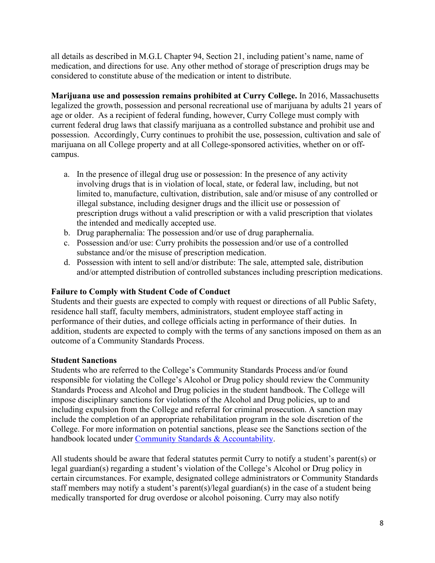all details as described in M.G.L Chapter 94, Section 21, including patient's name, name of medication, and directions for use. Any other method of storage of prescription drugs may be considered to constitute abuse of the medication or intent to distribute.

**Marijuana use and possession remains prohibited at Curry College.** In 2016, Massachusetts legalized the growth, possession and personal recreational use of marijuana by adults 21 years of age or older. As a recipient of federal funding, however, Curry College must comply with current federal drug laws that classify marijuana as a controlled substance and prohibit use and possession. Accordingly, Curry continues to prohibit the use, possession, cultivation and sale of marijuana on all College property and at all College-sponsored activities, whether on or offcampus.

- a. In the presence of illegal drug use or possession: In the presence of any activity involving drugs that is in violation of local, state, or federal law, including, but not limited to, manufacture, cultivation, distribution, sale and/or misuse of any controlled or illegal substance, including designer drugs and the illicit use or possession of prescription drugs without a valid prescription or with a valid prescription that violates the intended and medically accepted use.
- b. Drug paraphernalia: The possession and/or use of drug paraphernalia.
- c. Possession and/or use: Curry prohibits the possession and/or use of a controlled substance and/or the misuse of prescription medication.
- d. Possession with intent to sell and/or distribute: The sale, attempted sale, distribution and/or attempted distribution of controlled substances including prescription medications.

#### **Failure to Comply with Student Code of Conduct**

Students and their guests are expected to comply with request or directions of all Public Safety, residence hall staff, faculty members, administrators, student employee staff acting in performance of their duties, and college officials acting in performance of their duties. In addition, students are expected to comply with the terms of any sanctions imposed on them as an outcome of a Community Standards Process.

#### **Student Sanctions**

Students who are referred to the College's Community Standards Process and/or found responsible for violating the College's Alcohol or Drug policy should review the Community Standards Process and Alcohol and Drug policies in the student handbook. The College will impose disciplinary sanctions for violations of the Alcohol and Drug policies, up to and including expulsion from the College and referral for criminal prosecution. A sanction may include the completion of an appropriate rehabilitation program in the sole discretion of the College. For more information on potential sanctions, please see the Sanctions section of the handbook located under [Community Standards & Accountability.](https://www.curry.edu/assets/Documents/Student-Life/handbook.pdf#page=50)

All students should be aware that federal statutes permit Curry to notify a student's parent(s) or legal guardian(s) regarding a student's violation of the College's Alcohol or Drug policy in certain circumstances. For example, designated college administrators or Community Standards staff members may notify a student's parent(s)/legal guardian(s) in the case of a student being medically transported for drug overdose or alcohol poisoning. Curry may also notify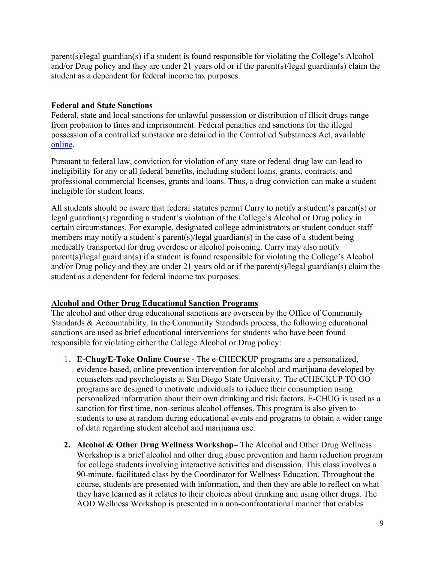parent(s)/legal guardian(s) if a student is found responsible for violating the College's Alcohol and/or Drug policy and they are under 21 years old or if the parent(s)/legal guardian(s) claim the student as a dependent for federal income tax purposes.

#### **Federal and State Sanctions**

Federal, state and local sanctions for unlawful possession or distribution of illicit drugs range from probation to fines and imprisonment. Federal penalties and sanctions for the illegal possession of a controlled substance are detailed in the Controlled Substances Act, available [online.](https://www.dea.gov/drug-information/csa#:%7E:text=The%20Controlled%20Substances%20Act%20(CSA,and%20safety%20or%20dependence%20liability.)

Pursuant to federal law, conviction for violation of any state or federal drug law can lead to ineligibility for any or all federal benefits, including student loans, grants, contracts, and professional commercial licenses, grants and loans. Thus, a drug conviction can make a student ineligible for student loans.

All students should be aware that federal statutes permit Curry to notify a student's parent(s) or legal guardian(s) regarding a student's violation of the College's Alcohol or Drug policy in certain circumstances. For example, designated college administrators or student conduct staff members may notify a student's parent(s)/legal guardian(s) in the case of a student being medically transported for drug overdose or alcohol poisoning. Curry may also notify parent(s)/legal guardian(s) if a student is found responsible for violating the College's Alcohol and/or Drug policy and they are under 21 years old or if the parent(s)/legal guardian(s) claim the student as a dependent for federal income tax purposes.

## **Alcohol and Other Drug Educational Sanction Programs**

The alcohol and other drug educational sanctions are overseen by the Office of Community Standards & Accountability. In the Community Standards process, the following educational sanctions are used as brief educational interventions for students who have been found responsible for violating either the College Alcohol or Drug policy:

- 1. **E-Chug/E-Toke Online Course -** The e-CHECKUP programs are a personalized, evidence-based, online prevention intervention for alcohol and marijuana developed by counselors and psychologists at San Diego State University. The eCHECKUP TO GO programs are designed to motivate individuals to reduce their consumption using personalized information about their own drinking and risk factors. E-CHUG is used as a sanction for first time, non-serious alcohol offenses. This program is also given to students to use at random during educational events and programs to obtain a wider range of data regarding student alcohol and marijuana use.
- **2. Alcohol & Other Drug Wellness Workshop–** The Alcohol and Other Drug Wellness Workshop is a brief alcohol and other drug abuse prevention and harm reduction program for college students involving interactive activities and discussion. This class involves a 90-minute, facilitated class by the Coordinator for Wellness Education. Throughout the course, students are presented with information, and then they are able to reflect on what they have learned as it relates to their choices about drinking and using other drugs. The AOD Wellness Workshop is presented in a non-confrontational manner that enables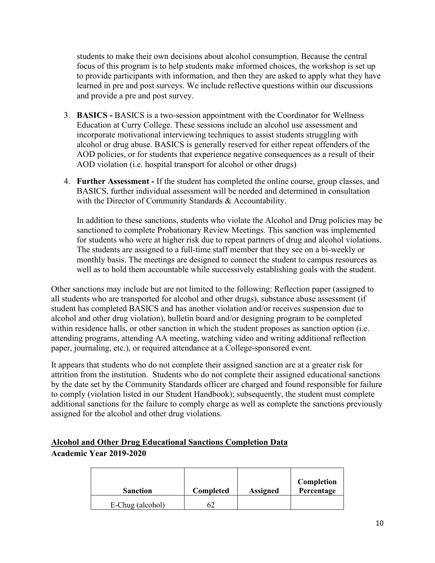students to make their own decisions about alcohol consumption. Because the central focus of this program is to help students make informed choices, the workshop is set up to provide participants with information, and then they are asked to apply what they have learned in pre and post surveys. We include reflective questions within our discussions and provide a pre and post survey.

- 3. **BASICS -** BASICS is a two-session appointment with the Coordinator for Wellness Education at Curry College. These sessions include an alcohol use assessment and incorporate motivational interviewing techniques to assist students struggling with alcohol or drug abuse. BASICS is generally reserved for either repeat offenders of the AOD policies, or for students that experience negative consequences as a result of their AOD violation (i.e. hospital transport for alcohol or other drugs)
- 4. **Further Assessment -** If the student has completed the online course, group classes, and BASICS, further individual assessment will be needed and determined in consultation with the Director of Community Standards & Accountability.

In addition to these sanctions, students who violate the Alcohol and Drug policies may be sanctioned to complete Probationary Review Meetings. This sanction was implemented for students who were at higher risk due to repeat partners of drug and alcohol violations. The students are assigned to a full-time staff member that they see on a bi-weekly or monthly basis. The meetings are designed to connect the student to campus resources as well as to hold them accountable while successively establishing goals with the student.

Other sanctions may include but are not limited to the following: Reflection paper (assigned to all students who are transported for alcohol and other drugs), substance abuse assessment (if student has completed BASICS and has another violation and/or receives suspension due to alcohol and other drug violation), bulletin board and/or designing program to be completed within residence halls, or other sanction in which the student proposes as sanction option (i.e. attending programs, attending AA meeting, watching video and writing additional reflection paper, journaling, etc.), or required attendance at a College-sponsored event.

It appears that students who do not complete their assigned sanction are at a greater risk for attrition from the institution. Students who do not complete their assigned educational sanctions by the date set by the Community Standards officer are charged and found responsible for failure to comply (violation listed in our Student Handbook); subsequently, the student must complete additional sanctions for the failure to comply charge as well as complete the sanctions previously assigned for the alcohol and other drug violations.

#### **Alcohol and Other Drug Educational Sanctions Completion Data Academic Year 2019-2020**

| <b>Sanction</b>  | Completed | <b>Assigned</b> | Completion<br>Percentage |
|------------------|-----------|-----------------|--------------------------|
| E-Chug (alcohol) |           |                 |                          |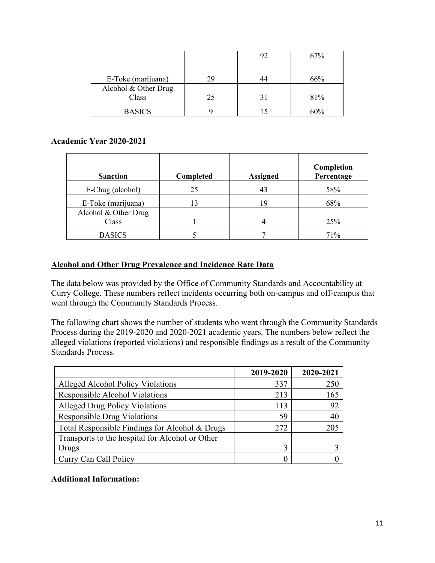|                               |    | 92 | 67% |
|-------------------------------|----|----|-----|
| E-Toke (marijuana)            | 29 |    | 66% |
| Alcohol & Other Drug<br>Class | 25 |    | 81% |
| <b>BASICS</b>                 |    |    | 60% |

#### **Academic Year 2020-2021**

| <b>Sanction</b>      | Completed | <b>Assigned</b> | Completion<br>Percentage |
|----------------------|-----------|-----------------|--------------------------|
| E-Chug (alcohol)     | 25        | 43              | 58%                      |
| E-Toke (marijuana)   | 13        | 19              | 68%                      |
| Alcohol & Other Drug |           |                 |                          |
| Class                |           | 4               | 25%                      |
| <b>BASICS</b>        |           |                 | 71%                      |

#### **Alcohol and Other Drug Prevalence and Incidence Rate Data**

The data below was provided by the Office of Community Standards and Accountability at Curry College. These numbers reflect incidents occurring both on-campus and off-campus that went through the Community Standards Process.

The following chart shows the number of students who went through the Community Standards Process during the 2019-2020 and 2020-2021 academic years. The numbers below reflect the alleged violations (reported violations) and responsible findings as a result of the Community Standards Process.

|                                                 | 2019-2020 | 2020-2021 |
|-------------------------------------------------|-----------|-----------|
| Alleged Alcohol Policy Violations               | 337       | 250       |
| Responsible Alcohol Violations                  | 213       | 165       |
| <b>Alleged Drug Policy Violations</b>           | 113       | 92        |
| <b>Responsible Drug Violations</b>              | 59        | 40        |
| Total Responsible Findings for Alcohol & Drugs  | 272       | 205       |
| Transports to the hospital for Alcohol or Other |           |           |
| Drugs                                           | 3         |           |
| Curry Can Call Policy                           |           |           |

#### **Additional Information:**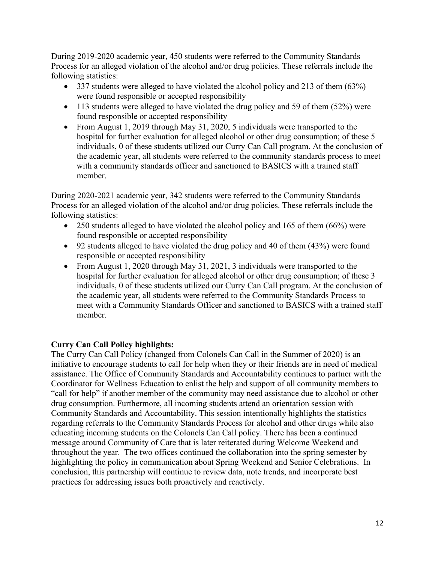During 2019-2020 academic year, 450 students were referred to the Community Standards Process for an alleged violation of the alcohol and/or drug policies. These referrals include the following statistics:

- 337 students were alleged to have violated the alcohol policy and 213 of them (63%) were found responsible or accepted responsibility
- $\bullet$  113 students were alleged to have violated the drug policy and 59 of them (52%) were found responsible or accepted responsibility
- From August 1, 2019 through May 31, 2020, 5 individuals were transported to the hospital for further evaluation for alleged alcohol or other drug consumption; of these 5 individuals, 0 of these students utilized our Curry Can Call program. At the conclusion of the academic year, all students were referred to the community standards process to meet with a community standards officer and sanctioned to BASICS with a trained staff member.

During 2020-2021 academic year, 342 students were referred to the Community Standards Process for an alleged violation of the alcohol and/or drug policies. These referrals include the following statistics:

- 250 students alleged to have violated the alcohol policy and 165 of them (66%) were found responsible or accepted responsibility
- 92 students alleged to have violated the drug policy and 40 of them (43%) were found responsible or accepted responsibility
- From August 1, 2020 through May 31, 2021, 3 individuals were transported to the hospital for further evaluation for alleged alcohol or other drug consumption; of these 3 individuals, 0 of these students utilized our Curry Can Call program. At the conclusion of the academic year, all students were referred to the Community Standards Process to meet with a Community Standards Officer and sanctioned to BASICS with a trained staff member.

## **Curry Can Call Policy highlights:**

The Curry Can Call Policy (changed from Colonels Can Call in the Summer of 2020) is an initiative to encourage students to call for help when they or their friends are in need of medical assistance. The Office of Community Standards and Accountability continues to partner with the Coordinator for Wellness Education to enlist the help and support of all community members to "call for help" if another member of the community may need assistance due to alcohol or other drug consumption. Furthermore, all incoming students attend an orientation session with Community Standards and Accountability. This session intentionally highlights the statistics regarding referrals to the Community Standards Process for alcohol and other drugs while also educating incoming students on the Colonels Can Call policy. There has been a continued message around Community of Care that is later reiterated during Welcome Weekend and throughout the year. The two offices continued the collaboration into the spring semester by highlighting the policy in communication about Spring Weekend and Senior Celebrations. In conclusion, this partnership will continue to review data, note trends, and incorporate best practices for addressing issues both proactively and reactively.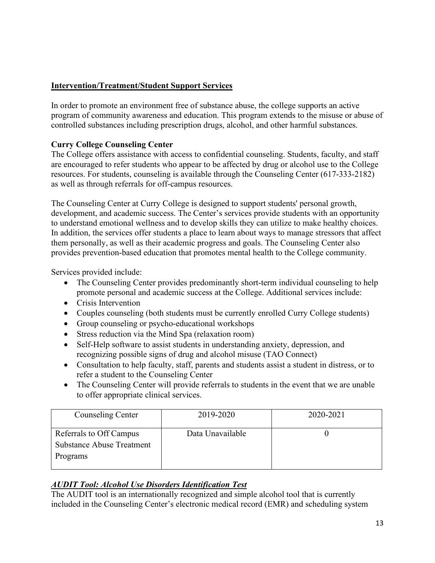## **Intervention/Treatment/Student Support Services**

In order to promote an environment free of substance abuse, the college supports an active program of community awareness and education. This program extends to the misuse or abuse of controlled substances including prescription drugs, alcohol, and other harmful substances.

## **Curry College Counseling Center**

The College offers assistance with access to confidential counseling. Students, faculty, and staff are encouraged to refer students who appear to be affected by drug or alcohol use to the College resources. For students, counseling is available through the Counseling Center (617-333-2182) as well as through referrals for off-campus resources.

The Counseling Center at Curry College is designed to support students' personal growth, development, and academic success. The Center's services provide students with an opportunity to understand emotional wellness and to develop skills they can utilize to make healthy choices. In addition, the services offer students a place to learn about ways to manage stressors that affect them personally, as well as their academic progress and goals. The Counseling Center also provides prevention-based education that promotes mental health to the College community.

Services provided include:

- The Counseling Center provides predominantly short-term individual counseling to help promote personal and academic success at the College. Additional services include:
- Crisis Intervention
- Couples counseling (both students must be currently enrolled Curry College students)
- Group counseling or psycho-educational workshops
- Stress reduction via the Mind Spa (relaxation room)
- Self-Help software to assist students in understanding anxiety, depression, and recognizing possible signs of drug and alcohol misuse (TAO Connect)
- Consultation to help faculty, staff, parents and students assist a student in distress, or to refer a student to the Counseling Center
- The Counseling Center will provide referrals to students in the event that we are unable to offer appropriate clinical services.

| Counseling Center                                                       | 2019-2020        | 2020-2021 |
|-------------------------------------------------------------------------|------------------|-----------|
| Referrals to Off Campus<br><b>Substance Abuse Treatment</b><br>Programs | Data Unavailable |           |

## *AUDIT Tool: Alcohol Use Disorders Identification Test*

The AUDIT tool is an internationally recognized and simple alcohol tool that is currently included in the Counseling Center's electronic medical record (EMR) and scheduling system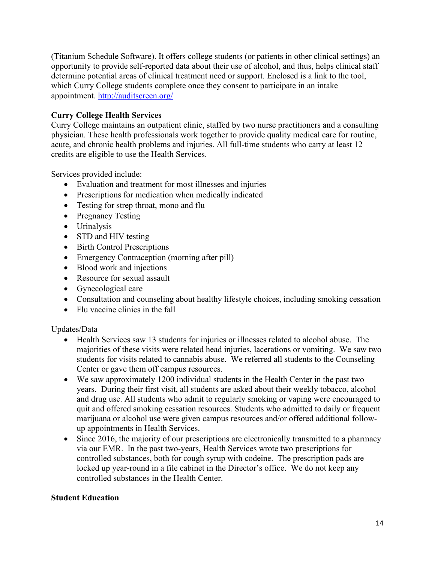(Titanium Schedule Software). It offers college students (or patients in other clinical settings) an opportunity to provide self-reported data about their use of alcohol, and thus, helps clinical staff determine potential areas of clinical treatment need or support. Enclosed is a link to the tool, which Curry College students complete once they consent to participate in an intake appointment. <http://auditscreen.org/>

#### **Curry College Health Services**

Curry College maintains an outpatient clinic, staffed by two nurse practitioners and a consulting physician. These health professionals work together to provide quality medical care for routine, acute, and chronic health problems and injuries. All full-time students who carry at least 12 credits are eligible to use the Health Services.

Services provided include:

- Evaluation and treatment for most illnesses and injuries
- Prescriptions for medication when medically indicated
- Testing for strep throat, mono and flu
- Pregnancy Testing
- Urinalysis
- STD and HIV testing
- Birth Control Prescriptions
- Emergency Contraception (morning after pill)
- Blood work and injections
- Resource for sexual assault
- Gynecological care
- Consultation and counseling about healthy lifestyle choices, including smoking cessation
- Flu vaccine clinics in the fall

#### Updates/Data

- Health Services saw 13 students for injuries or illnesses related to alcohol abuse. The majorities of these visits were related head injuries, lacerations or vomiting. We saw two students for visits related to cannabis abuse. We referred all students to the Counseling Center or gave them off campus resources.
- We saw approximately 1200 individual students in the Health Center in the past two years. During their first visit, all students are asked about their weekly tobacco, alcohol and drug use. All students who admit to regularly smoking or vaping were encouraged to quit and offered smoking cessation resources. Students who admitted to daily or frequent marijuana or alcohol use were given campus resources and/or offered additional followup appointments in Health Services.
- Since 2016, the majority of our prescriptions are electronically transmitted to a pharmacy via our EMR. In the past two-years, Health Services wrote two prescriptions for controlled substances, both for cough syrup with codeine. The prescription pads are locked up year-round in a file cabinet in the Director's office. We do not keep any controlled substances in the Health Center.

#### **Student Education**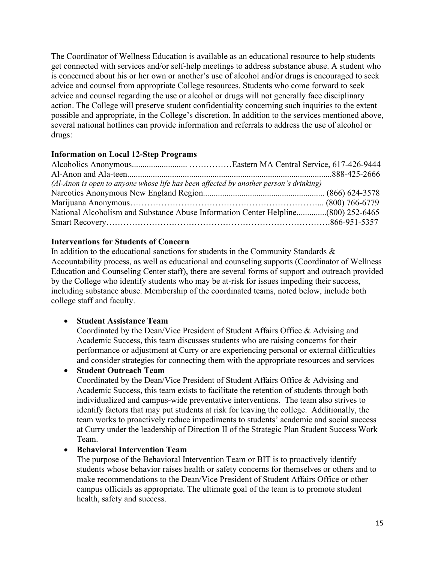The Coordinator of Wellness Education is available as an educational resource to help students get connected with services and/or self-help meetings to address substance abuse. A student who is concerned about his or her own or another's use of alcohol and/or drugs is encouraged to seek advice and counsel from appropriate College resources. Students who come forward to seek advice and counsel regarding the use or alcohol or drugs will not generally face disciplinary action. The College will preserve student confidentiality concerning such inquiries to the extent possible and appropriate, in the College's discretion. In addition to the services mentioned above, several national hotlines can provide information and referrals to address the use of alcohol or drugs:

## **Information on Local 12-Step Programs**

| $(Al-Anon is open to anyone whose life has been affected by another person's drinking)$ |  |
|-----------------------------------------------------------------------------------------|--|
|                                                                                         |  |
|                                                                                         |  |
| National Alcoholism and Substance Abuse Information Center Helpline(800) 252-6465       |  |
|                                                                                         |  |

## **Interventions for Students of Concern**

In addition to the educational sanctions for students in the Community Standards & Accountability process, as well as educational and counseling supports (Coordinator of Wellness Education and Counseling Center staff), there are several forms of support and outreach provided by the College who identify students who may be at-risk for issues impeding their success, including substance abuse. Membership of the coordinated teams, noted below, include both college staff and faculty.

#### • **Student Assistance Team**

Coordinated by the Dean/Vice President of Student Affairs Office & Advising and Academic Success, this team discusses students who are raising concerns for their performance or adjustment at Curry or are experiencing personal or external difficulties and consider strategies for connecting them with the appropriate resources and services

#### • **Student Outreach Team**

Coordinated by the Dean/Vice President of Student Affairs Office & Advising and Academic Success, this team exists to facilitate the retention of students through both individualized and campus-wide preventative interventions. The team also strives to identify factors that may put students at risk for leaving the college. Additionally, the team works to proactively reduce impediments to students' academic and social success at Curry under the leadership of Direction II of the Strategic Plan Student Success Work Team.

#### • **Behavioral Intervention Team**

The purpose of the Behavioral Intervention Team or BIT is to proactively identify students whose behavior raises health or safety concerns for themselves or others and to make recommendations to the Dean/Vice President of Student Affairs Office or other campus officials as appropriate. The ultimate goal of the team is to promote student health, safety and success.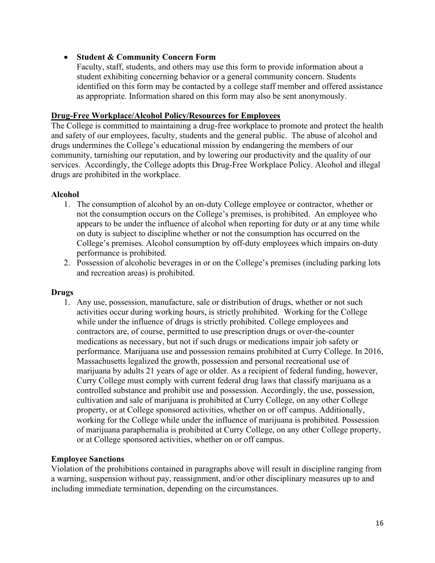#### • **Student & Community Concern Form**

Faculty, staff, students, and others may use this form to provide information about a student exhibiting concerning behavior or a general community concern. Students identified on this form may be contacted by a college staff member and offered assistance as appropriate. Information shared on this form may also be sent anonymously.

#### **Drug-Free Workplace/Alcohol Policy/Resources for Employees**

The College is committed to maintaining a drug-free workplace to promote and protect the health and safety of our employees, faculty, students and the general public. The abuse of alcohol and drugs undermines the College's educational mission by endangering the members of our community, tarnishing our reputation, and by lowering our productivity and the quality of our services. Accordingly, the College adopts this Drug-Free Workplace Policy. Alcohol and illegal drugs are prohibited in the workplace.

#### **Alcohol**

- 1. The consumption of alcohol by an on-duty College employee or contractor, whether or not the consumption occurs on the College's premises, is prohibited. An employee who appears to be under the influence of alcohol when reporting for duty or at any time while on duty is subject to discipline whether or not the consumption has occurred on the College's premises. Alcohol consumption by off-duty employees which impairs on-duty performance is prohibited.
- 2. Possession of alcoholic beverages in or on the College's premises (including parking lots and recreation areas) is prohibited.

#### **Drugs**

1. Any use, possession, manufacture, sale or distribution of drugs, whether or not such activities occur during working hours, is strictly prohibited. Working for the College while under the influence of drugs is strictly prohibited. College employees and contractors are, of course, permitted to use prescription drugs or over-the-counter medications as necessary, but not if such drugs or medications impair job safety or performance. Marijuana use and possession remains prohibited at Curry College. In 2016, Massachusetts legalized the growth, possession and personal recreational use of marijuana by adults 21 years of age or older. As a recipient of federal funding, however, Curry College must comply with current federal drug laws that classify marijuana as a controlled substance and prohibit use and possession. Accordingly, the use, possession, cultivation and sale of marijuana is prohibited at Curry College, on any other College property, or at College sponsored activities, whether on or off campus. Additionally, working for the College while under the influence of marijuana is prohibited. Possession of marijuana paraphernalia is prohibited at Curry College, on any other College property, or at College sponsored activities, whether on or off campus.

#### **Employee Sanctions**

Violation of the prohibitions contained in paragraphs above will result in discipline ranging from a warning, suspension without pay, reassignment, and/or other disciplinary measures up to and including immediate termination, depending on the circumstances.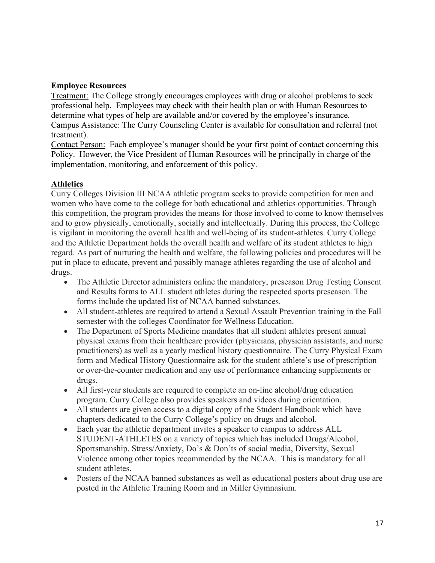#### **Employee Resources**

Treatment: The College strongly encourages employees with drug or alcohol problems to seek professional help. Employees may check with their health plan or with Human Resources to determine what types of help are available and/or covered by the employee's insurance. Campus Assistance: The Curry Counseling Center is available for consultation and referral (not treatment).

Contact Person: Each employee's manager should be your first point of contact concerning this Policy. However, the Vice President of Human Resources will be principally in charge of the implementation, monitoring, and enforcement of this policy.

#### **Athletics**

Curry Colleges Division III NCAA athletic program seeks to provide competition for men and women who have come to the college for both educational and athletics opportunities. Through this competition, the program provides the means for those involved to come to know themselves and to grow physically, emotionally, socially and intellectually. During this process, the College is vigilant in monitoring the overall health and well-being of its student-athletes. Curry College and the Athletic Department holds the overall health and welfare of its student athletes to high regard. As part of nurturing the health and welfare, the following policies and procedures will be put in place to educate, prevent and possibly manage athletes regarding the use of alcohol and drugs.

- The Athletic Director administers online the mandatory, preseason Drug Testing Consent and Results forms to ALL student athletes during the respected sports preseason. The forms include the updated list of NCAA banned substances.
- All student-athletes are required to attend a Sexual Assault Prevention training in the Fall semester with the colleges Coordinator for Wellness Education.
- The Department of Sports Medicine mandates that all student athletes present annual physical exams from their healthcare provider (physicians, physician assistants, and nurse practitioners) as well as a yearly medical history questionnaire. The Curry Physical Exam form and Medical History Questionnaire ask for the student athlete's use of prescription or over-the-counter medication and any use of performance enhancing supplements or drugs.
- All first-year students are required to complete an on-line alcohol/drug education program. Curry College also provides speakers and videos during orientation.
- All students are given access to a digital copy of the Student Handbook which have chapters dedicated to the Curry College's policy on drugs and alcohol.
- Each year the athletic department invites a speaker to campus to address ALL STUDENT-ATHLETES on a variety of topics which has included Drugs/Alcohol, Sportsmanship, Stress/Anxiety, Do's & Don'ts of social media, Diversity, Sexual Violence among other topics recommended by the NCAA. This is mandatory for all student athletes.
- Posters of the NCAA banned substances as well as educational posters about drug use are posted in the Athletic Training Room and in Miller Gymnasium.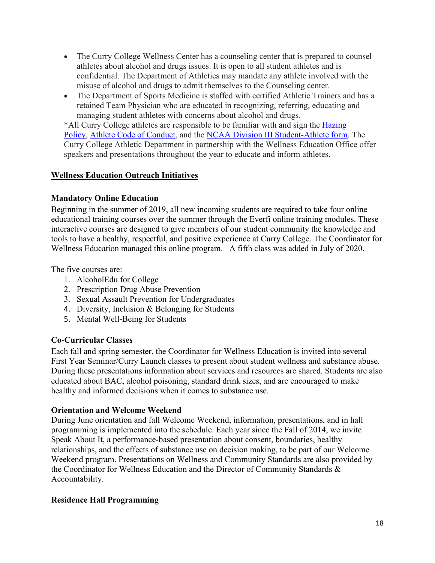- The Curry College Wellness Center has a counseling center that is prepared to counsel athletes about alcohol and drugs issues. It is open to all student athletes and is confidential. The Department of Athletics may mandate any athlete involved with the misuse of alcohol and drugs to admit themselves to the Counseling center.
- The Department of Sports Medicine is staffed with certified Athletic Trainers and has a retained Team Physician who are educated in recognizing, referring, educating and managing student athletes with concerns about alcohol and drugs.

\*All Curry College athletes are responsible to be familiar with and sign the [Hazing](https://www.curryathletics.com/information/Curry_College_Policy_on_Hazing202122.pdf)  [Policy,](https://www.curryathletics.com/information/Curry_College_Policy_on_Hazing202122.pdf) [Athlete Code of Conduct,](https://www.curryathletics.com/general/2016-17/files/Code_of_conduct-Athletes_-1-.pdf) and the [NCAA Division III Student-Athlete form.](chrome-extension://efaidnbmnnnibpcajpcglclefindmkaj/viewer.html?pdfurl=https%3A%2F%2Fncaaorg.s3.amazonaws.com%2Fcompliance%2Fd3%2F2021-22%2F2021-22D3Comp_SummaryofNCAARegulations.pdf&clen=230019&chunk=true) The Curry College Athletic Department in partnership with the Wellness Education Office offer speakers and presentations throughout the year to educate and inform athletes.

## **Wellness Education Outreach Initiatives**

## **Mandatory Online Education**

Beginning in the summer of 2019, all new incoming students are required to take four online educational training courses over the summer through the Everfi online training modules. These interactive courses are designed to give members of our student community the knowledge and tools to have a healthy, respectful, and positive experience at Curry College. The Coordinator for Wellness Education managed this online program. A fifth class was added in July of 2020.

The five courses are:

- 1. AlcoholEdu for College
- 2. Prescription Drug Abuse Prevention
- 3. Sexual Assault Prevention for Undergraduates
- 4. Diversity, Inclusion & Belonging for Students
- 5. Mental Well-Being for Students

## **Co-Curricular Classes**

Each fall and spring semester, the Coordinator for Wellness Education is invited into several First Year Seminar/Curry Launch classes to present about student wellness and substance abuse. During these presentations information about services and resources are shared. Students are also educated about BAC, alcohol poisoning, standard drink sizes, and are encouraged to make healthy and informed decisions when it comes to substance use.

#### **Orientation and Welcome Weekend**

During June orientation and fall Welcome Weekend, information, presentations, and in hall programming is implemented into the schedule. Each year since the Fall of 2014, we invite Speak About It, a performance-based presentation about consent, boundaries, healthy relationships, and the effects of substance use on decision making, to be part of our Welcome Weekend program. Presentations on Wellness and Community Standards are also provided by the Coordinator for Wellness Education and the Director of Community Standards & Accountability.

## **Residence Hall Programming**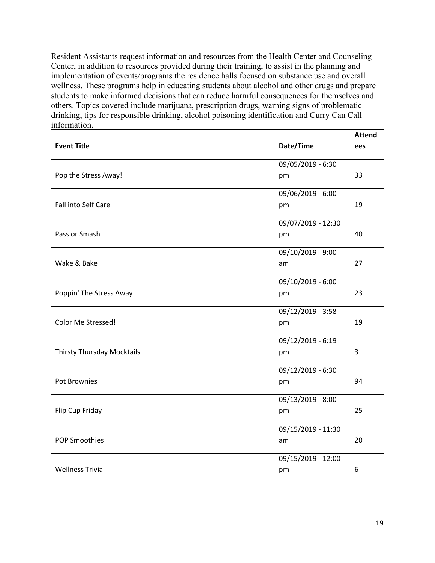Resident Assistants request information and resources from the Health Center and Counseling Center, in addition to resources provided during their training, to assist in the planning and implementation of events/programs the residence halls focused on substance use and overall wellness. These programs help in educating students about alcohol and other drugs and prepare students to make informed decisions that can reduce harmful consequences for themselves and others. Topics covered include marijuana, prescription drugs, warning signs of problematic drinking, tips for responsible drinking, alcohol poisoning identification and Curry Can Call information.

| <b>Event Title</b>         | Date/Time                | <b>Attend</b><br>ees |
|----------------------------|--------------------------|----------------------|
| Pop the Stress Away!       | 09/05/2019 - 6:30<br>pm  | 33                   |
| Fall into Self Care        | 09/06/2019 - 6:00<br>pm  | 19                   |
| Pass or Smash              | 09/07/2019 - 12:30<br>pm | 40                   |
| Wake & Bake                | 09/10/2019 - 9:00<br>am  | 27                   |
| Poppin' The Stress Away    | 09/10/2019 - 6:00<br>pm  | 23                   |
| Color Me Stressed!         | 09/12/2019 - 3:58<br>pm  | 19                   |
| Thirsty Thursday Mocktails | 09/12/2019 - 6:19<br>pm  | $\overline{3}$       |
| Pot Brownies               | 09/12/2019 - 6:30<br>pm  | 94                   |
| Flip Cup Friday            | 09/13/2019 - 8:00<br>pm  | 25                   |
| <b>POP Smoothies</b>       | 09/15/2019 - 11:30<br>am | 20                   |
| <b>Wellness Trivia</b>     | 09/15/2019 - 12:00<br>pm | 6                    |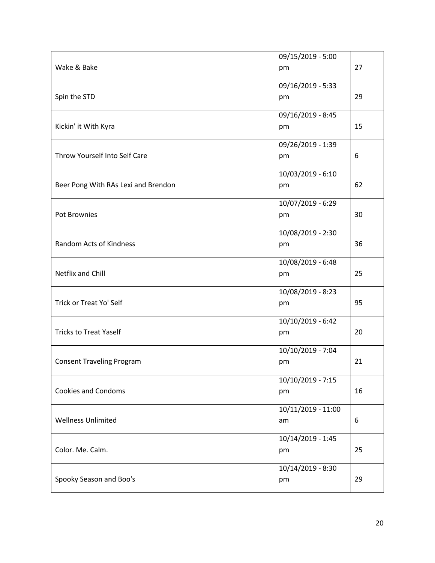|                                     | 09/15/2019 - 5:00  |    |
|-------------------------------------|--------------------|----|
| Wake & Bake                         | pm                 | 27 |
|                                     |                    |    |
|                                     | 09/16/2019 - 5:33  |    |
| Spin the STD                        | pm                 | 29 |
|                                     | 09/16/2019 - 8:45  |    |
| Kickin' it With Kyra                | pm                 | 15 |
|                                     |                    |    |
|                                     | 09/26/2019 - 1:39  |    |
| Throw Yourself Into Self Care       | pm                 | 6  |
|                                     |                    |    |
|                                     | 10/03/2019 - 6:10  |    |
| Beer Pong With RAs Lexi and Brendon | pm                 | 62 |
|                                     | 10/07/2019 - 6:29  |    |
|                                     |                    |    |
| Pot Brownies                        | pm                 | 30 |
|                                     | 10/08/2019 - 2:30  |    |
| <b>Random Acts of Kindness</b>      | pm                 | 36 |
|                                     |                    |    |
|                                     | 10/08/2019 - 6:48  |    |
| Netflix and Chill                   | pm                 | 25 |
|                                     |                    |    |
|                                     | 10/08/2019 - 8:23  |    |
| Trick or Treat Yo' Self             | pm                 | 95 |
|                                     | 10/10/2019 - 6:42  |    |
| <b>Tricks to Treat Yaself</b>       | pm                 | 20 |
|                                     |                    |    |
|                                     | 10/10/2019 - 7:04  |    |
| <b>Consent Traveling Program</b>    | pm                 | 21 |
|                                     |                    |    |
|                                     | 10/10/2019 - 7:15  |    |
| <b>Cookies and Condoms</b>          | pm                 | 16 |
|                                     |                    |    |
|                                     | 10/11/2019 - 11:00 |    |
| <b>Wellness Unlimited</b>           | am                 | 6  |
|                                     | 10/14/2019 - 1:45  |    |
| Color. Me. Calm.                    | pm                 | 25 |
|                                     |                    |    |
|                                     | 10/14/2019 - 8:30  |    |
| Spooky Season and Boo's             | pm                 | 29 |
|                                     |                    |    |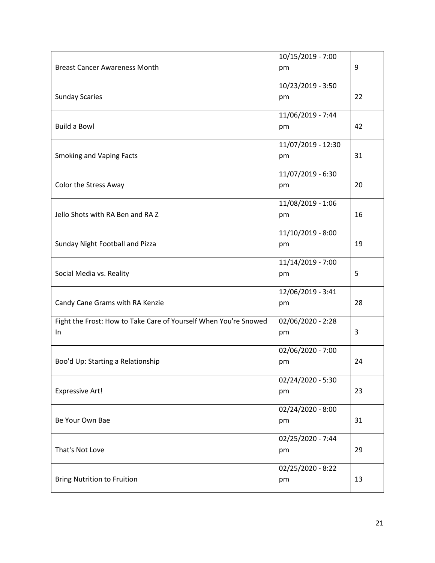|                                                                  | 10/15/2019 - 7:00  |    |
|------------------------------------------------------------------|--------------------|----|
| <b>Breast Cancer Awareness Month</b>                             | pm                 | 9  |
|                                                                  |                    |    |
|                                                                  | 10/23/2019 - 3:50  |    |
| <b>Sunday Scaries</b>                                            | pm                 | 22 |
|                                                                  | 11/06/2019 - 7:44  |    |
| <b>Build a Bowl</b>                                              | pm                 | 42 |
|                                                                  |                    |    |
|                                                                  | 11/07/2019 - 12:30 |    |
| <b>Smoking and Vaping Facts</b>                                  | pm                 | 31 |
|                                                                  | 11/07/2019 - 6:30  |    |
| Color the Stress Away                                            | pm                 | 20 |
|                                                                  |                    |    |
|                                                                  | 11/08/2019 - 1:06  |    |
| Jello Shots with RA Ben and RA Z                                 | pm                 | 16 |
|                                                                  |                    |    |
|                                                                  | 11/10/2019 - 8:00  |    |
| Sunday Night Football and Pizza                                  | pm                 | 19 |
|                                                                  | 11/14/2019 - 7:00  |    |
| Social Media vs. Reality                                         | pm                 | 5  |
|                                                                  |                    |    |
|                                                                  | 12/06/2019 - 3:41  |    |
| Candy Cane Grams with RA Kenzie                                  | pm                 | 28 |
|                                                                  |                    |    |
| Fight the Frost: How to Take Care of Yourself When You're Snowed | 02/06/2020 - 2:28  |    |
| In                                                               | pm                 | 3  |
|                                                                  | 02/06/2020 - 7:00  |    |
| Boo'd Up: Starting a Relationship                                | pm                 | 24 |
|                                                                  |                    |    |
|                                                                  | 02/24/2020 - 5:30  |    |
| <b>Expressive Art!</b>                                           | pm                 | 23 |
|                                                                  |                    |    |
|                                                                  | 02/24/2020 - 8:00  |    |
| Be Your Own Bae                                                  | pm                 | 31 |
|                                                                  | 02/25/2020 - 7:44  |    |
| That's Not Love                                                  | pm                 | 29 |
|                                                                  |                    |    |
|                                                                  | 02/25/2020 - 8:22  |    |
| <b>Bring Nutrition to Fruition</b>                               | pm                 | 13 |
|                                                                  |                    |    |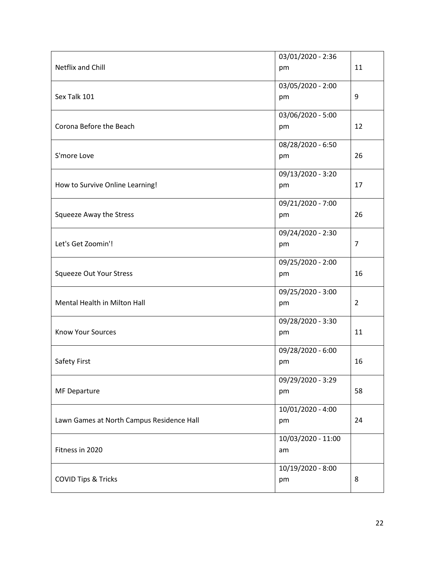|                                           | 03/01/2020 - 2:36  |                |
|-------------------------------------------|--------------------|----------------|
| Netflix and Chill                         | pm                 | 11             |
|                                           |                    |                |
|                                           | 03/05/2020 - 2:00  |                |
| Sex Talk 101                              | pm                 | 9              |
|                                           | 03/06/2020 - 5:00  |                |
| Corona Before the Beach                   | pm                 | 12             |
|                                           |                    |                |
|                                           | 08/28/2020 - 6:50  |                |
| S'more Love                               | pm                 | 26             |
|                                           | 09/13/2020 - 3:20  |                |
| How to Survive Online Learning!           | pm                 | 17             |
|                                           |                    |                |
|                                           | 09/21/2020 - 7:00  |                |
| Squeeze Away the Stress                   | pm                 | 26             |
|                                           |                    |                |
|                                           | 09/24/2020 - 2:30  |                |
| Let's Get Zoomin'!                        | pm                 | $\overline{7}$ |
|                                           | 09/25/2020 - 2:00  |                |
| <b>Squeeze Out Your Stress</b>            | pm                 | 16             |
|                                           |                    |                |
|                                           | 09/25/2020 - 3:00  |                |
| Mental Health in Milton Hall              | pm                 | $\overline{2}$ |
|                                           | 09/28/2020 - 3:30  |                |
| <b>Know Your Sources</b>                  | pm                 | 11             |
|                                           |                    |                |
|                                           | 09/28/2020 - 6:00  |                |
| Safety First                              | pm                 | 16             |
|                                           |                    |                |
|                                           | 09/29/2020 - 3:29  |                |
| <b>MF Departure</b>                       | pm                 | 58             |
|                                           | 10/01/2020 - 4:00  |                |
| Lawn Games at North Campus Residence Hall | pm                 | 24             |
|                                           |                    |                |
|                                           | 10/03/2020 - 11:00 |                |
| Fitness in 2020                           | am                 |                |
|                                           | 10/19/2020 - 8:00  |                |
| <b>COVID Tips &amp; Tricks</b>            | pm                 | 8              |
|                                           |                    |                |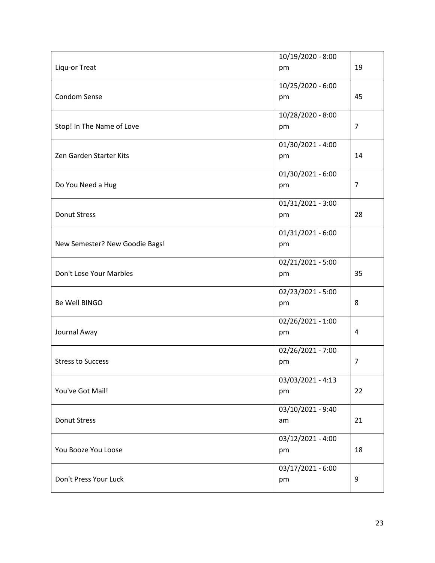|                                | 10/19/2020 - 8:00   |                |
|--------------------------------|---------------------|----------------|
| Liqu-or Treat                  | pm                  | 19             |
|                                |                     |                |
|                                | 10/25/2020 - 6:00   |                |
| Condom Sense                   | pm                  | 45             |
|                                | 10/28/2020 - 8:00   |                |
| Stop! In The Name of Love      | pm                  | $\overline{7}$ |
|                                |                     |                |
|                                | 01/30/2021 - 4:00   |                |
| Zen Garden Starter Kits        | pm                  | 14             |
|                                |                     |                |
|                                | 01/30/2021 - 6:00   |                |
| Do You Need a Hug              | pm                  | 7              |
|                                | 01/31/2021 - 3:00   |                |
| <b>Donut Stress</b>            |                     | 28             |
|                                | pm                  |                |
|                                | $01/31/2021 - 6:00$ |                |
| New Semester? New Goodie Bags! | pm                  |                |
|                                |                     |                |
|                                | 02/21/2021 - 5:00   |                |
| Don't Lose Your Marbles        | pm                  | 35             |
|                                |                     |                |
|                                | 02/23/2021 - 5:00   |                |
| Be Well BINGO                  | pm                  | 8              |
|                                | 02/26/2021 - 1:00   |                |
| Journal Away                   | pm                  | 4              |
|                                |                     |                |
|                                | 02/26/2021 - 7:00   |                |
| <b>Stress to Success</b>       | pm                  | 7              |
|                                |                     |                |
|                                | 03/03/2021 - 4:13   |                |
| You've Got Mail!               | pm                  | 22             |
|                                | 03/10/2021 - 9:40   |                |
| <b>Donut Stress</b>            | am                  | 21             |
|                                |                     |                |
|                                | 03/12/2021 - 4:00   |                |
| You Booze You Loose            | pm                  | 18             |
|                                |                     |                |
|                                | 03/17/2021 - 6:00   |                |
| Don't Press Your Luck          | pm                  | 9              |
|                                |                     |                |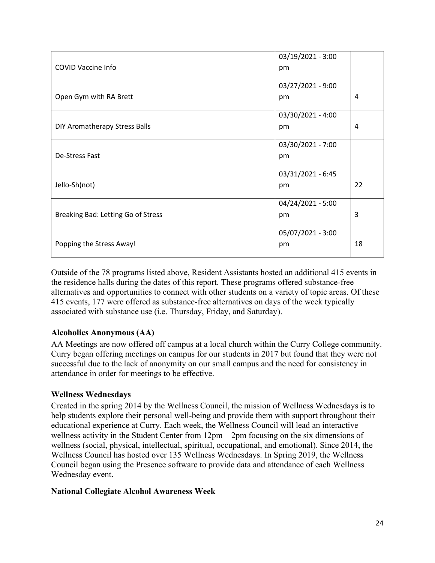|                                                                | 03/19/2021 - 3:00                                                 |         |
|----------------------------------------------------------------|-------------------------------------------------------------------|---------|
| <b>COVID Vaccine Info</b>                                      | pm                                                                |         |
|                                                                |                                                                   |         |
|                                                                | 03/27/2021 - 9:00                                                 |         |
| Open Gym with RA Brett                                         | pm                                                                | 4       |
|                                                                | 03/30/2021 - 4:00                                                 |         |
| DIY Aromatherapy Stress Balls                                  | pm                                                                | 4       |
|                                                                |                                                                   |         |
|                                                                | 03/30/2021 - 7:00                                                 |         |
| De-Stress Fast                                                 | pm                                                                |         |
|                                                                |                                                                   |         |
|                                                                |                                                                   |         |
| Jello-Sh(not)                                                  | pm                                                                | 22      |
|                                                                |                                                                   |         |
|                                                                |                                                                   |         |
|                                                                | pm                                                                |         |
|                                                                |                                                                   |         |
|                                                                |                                                                   |         |
|                                                                |                                                                   |         |
| Breaking Bad: Letting Go of Stress<br>Popping the Stress Away! | 03/31/2021 - 6:45<br>04/24/2021 - 5:00<br>05/07/2021 - 3:00<br>pm | 3<br>18 |

Outside of the 78 programs listed above, Resident Assistants hosted an additional 415 events in the residence halls during the dates of this report. These programs offered substance-free alternatives and opportunities to connect with other students on a variety of topic areas. Of these 415 events, 177 were offered as substance-free alternatives on days of the week typically associated with substance use (i.e. Thursday, Friday, and Saturday).

#### **Alcoholics Anonymous (AA)**

AA Meetings are now offered off campus at a local church within the Curry College community. Curry began offering meetings on campus for our students in 2017 but found that they were not successful due to the lack of anonymity on our small campus and the need for consistency in attendance in order for meetings to be effective.

#### **Wellness Wednesdays**

Created in the spring 2014 by the Wellness Council, the mission of Wellness Wednesdays is to help students explore their personal well-being and provide them with support throughout their educational experience at Curry. Each week, the Wellness Council will lead an interactive wellness activity in the Student Center from 12pm – 2pm focusing on the six dimensions of wellness (social, physical, intellectual, spiritual, occupational, and emotional). Since 2014, the Wellness Council has hosted over 135 Wellness Wednesdays. In Spring 2019, the Wellness Council began using the Presence software to provide data and attendance of each Wellness Wednesday event.

#### **National Collegiate Alcohol Awareness Week**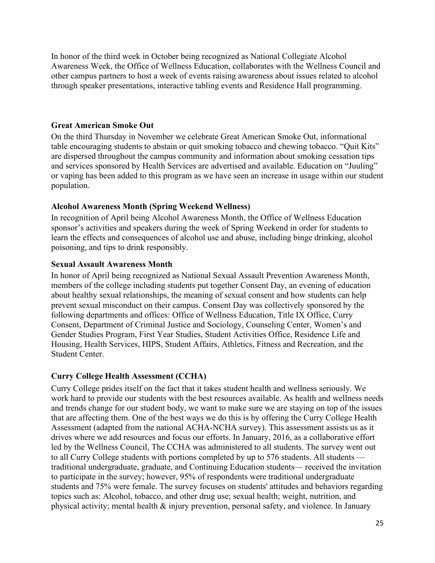In honor of the third week in October being recognized as National Collegiate Alcohol Awareness Week, the Office of Wellness Education, collaborates with the Wellness Council and other campus partners to host a week of events raising awareness about issues related to alcohol through speaker presentations, interactive tabling events and Residence Hall programming.

#### **Great American Smoke Out**

On the third Thursday in November we celebrate Great American Smoke Out, informational table encouraging students to abstain or quit smoking tobacco and chewing tobacco. "Quit Kits" are dispersed throughout the campus community and information about smoking cessation tips and services sponsored by Health Services are advertised and available. Education on "Juuling" or vaping has been added to this program as we have seen an increase in usage within our student population.

#### **Alcohol Awareness Month (Spring Weekend Wellness)**

In recognition of April being Alcohol Awareness Month, the Office of Wellness Education sponsor's activities and speakers during the week of Spring Weekend in order for students to learn the effects and consequences of alcohol use and abuse, including binge drinking, alcohol poisoning, and tips to drink responsibly.

#### **Sexual Assault Awareness Month**

In honor of April being recognized as National Sexual Assault Prevention Awareness Month, members of the college including students put together Consent Day, an evening of education about healthy sexual relationships, the meaning of sexual consent and how students can help prevent sexual misconduct on their campus. Consent Day was collectively sponsored by the following departments and offices: Office of Wellness Education, Title IX Office, Curry Consent, Department of Criminal Justice and Sociology, Counseling Center, Women's and Gender Studies Program, First Year Studies, Student Activities Office, Residence Life and Housing, Health Services, HIPS, Student Affairs, Athletics, Fitness and Recreation, and the Student Center.

#### **Curry College Health Assessment (CCHA)**

Curry College prides itself on the fact that it takes student health and wellness seriously. We work hard to provide our students with the best resources available. As health and wellness needs and trends change for our student body, we want to make sure we are staying on top of the issues that are affecting them. One of the best ways we do this is by offering the Curry College Health Assessment (adapted from the national ACHA-NCHA survey). This assessment assists us as it drives where we add resources and focus our efforts. In January, 2016, as a collaborative effort led by the Wellness Council, The CCHA was administered to all students. The survey went out to all Curry College students with portions completed by up to 576 students. All students traditional undergraduate, graduate, and Continuing Education students— received the invitation to participate in the survey; however, 95% of respondents were traditional undergraduate students and 75% were female. The survey focuses on students' attitudes and behaviors regarding topics such as: Alcohol, tobacco, and other drug use; sexual health; weight, nutrition, and physical activity; mental health & injury prevention, personal safety, and violence. In January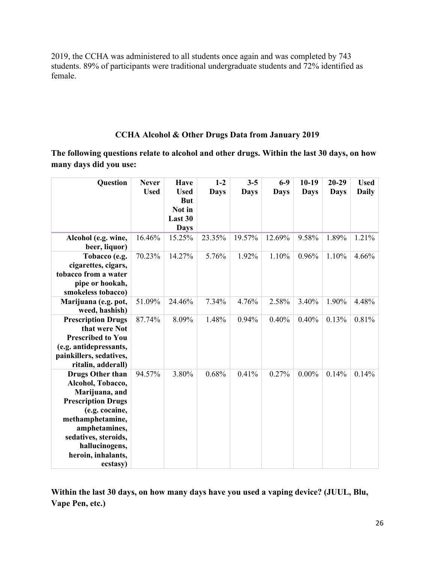2019, the CCHA was administered to all students once again and was completed by 743 students. 89% of participants were traditional undergraduate students and 72% identified as female.

## **CCHA Alcohol & Other Drugs Data from January 2019**

**The following questions relate to alcohol and other drugs. Within the last 30 days, on how many days did you use:**

| <b>Question</b>                               | <b>Never</b> | <b>Have</b>               | $1-2$       | $3 - 5$     | $6-9$       | $10-19$     | $20 - 29$   | <b>Used</b>  |
|-----------------------------------------------|--------------|---------------------------|-------------|-------------|-------------|-------------|-------------|--------------|
|                                               | <b>Used</b>  | <b>Used</b><br><b>But</b> | <b>Days</b> | <b>Days</b> | <b>Days</b> | <b>Days</b> | <b>Days</b> | <b>Daily</b> |
|                                               |              | Not in                    |             |             |             |             |             |              |
|                                               |              | Last 30                   |             |             |             |             |             |              |
|                                               |              | <b>Days</b>               |             |             |             |             |             |              |
| Alcohol (e.g. wine,                           | 16.46%       | 15.25%                    | 23.35%      | 19.57%      | 12.69%      | 9.58%       | 1.89%       | 1.21%        |
| beer, liquor)                                 |              |                           |             |             |             |             |             |              |
| Tobacco (e.g.                                 | 70.23%       | 14.27%                    | 5.76%       | 1.92%       | 1.10%       | 0.96%       | 1.10%       | 4.66%        |
| cigarettes, cigars,                           |              |                           |             |             |             |             |             |              |
| tobacco from a water<br>pipe or hookah,       |              |                           |             |             |             |             |             |              |
| smokeless tobacco)                            |              |                           |             |             |             |             |             |              |
| Marijuana (e.g. pot,                          | 51.09%       | 24.46%                    | 7.34%       | 4.76%       | 2.58%       | 3.40%       | 1.90%       | 4.48%        |
| weed, hashish)                                |              |                           |             |             |             |             |             |              |
| <b>Prescription Drugs</b>                     | 87.74%       | 8.09%                     | 1.48%       | 0.94%       | 0.40%       | 0.40%       | 0.13%       | 0.81%        |
| that were Not                                 |              |                           |             |             |             |             |             |              |
| <b>Prescribed to You</b>                      |              |                           |             |             |             |             |             |              |
| (e.g. antidepressants,                        |              |                           |             |             |             |             |             |              |
| painkillers, sedatives,<br>ritalin, adderall) |              |                           |             |             |             |             |             |              |
| <b>Drugs Other than</b>                       | 94.57%       | 3.80%                     | 0.68%       | 0.41%       | 0.27%       | $0.00\%$    | 0.14%       | 0.14%        |
| Alcohol, Tobacco,                             |              |                           |             |             |             |             |             |              |
| Marijuana, and                                |              |                           |             |             |             |             |             |              |
| <b>Prescription Drugs</b>                     |              |                           |             |             |             |             |             |              |
| (e.g. cocaine,                                |              |                           |             |             |             |             |             |              |
| methamphetamine,                              |              |                           |             |             |             |             |             |              |
| amphetamines,                                 |              |                           |             |             |             |             |             |              |
| sedatives, steroids,                          |              |                           |             |             |             |             |             |              |
| hallucinogens,                                |              |                           |             |             |             |             |             |              |
| heroin, inhalants,                            |              |                           |             |             |             |             |             |              |
| ecstasy)                                      |              |                           |             |             |             |             |             |              |

**Within the last 30 days, on how many days have you used a vaping device? (JUUL, Blu, Vape Pen, etc.)**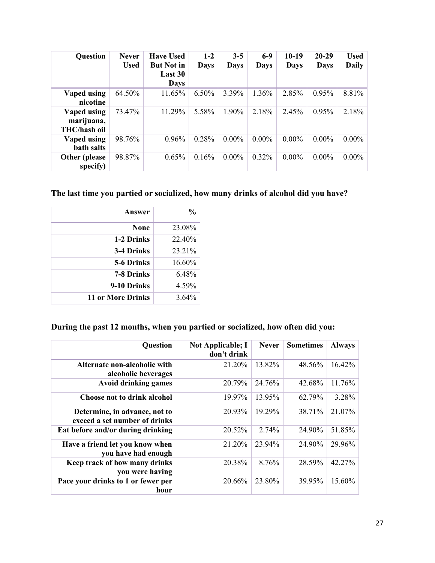| <b>Question</b>                           | <b>Never</b><br><b>Used</b> | <b>Have Used</b><br><b>But Not in</b><br>Last 30<br><b>Days</b> | $1-2$<br><b>Days</b> | $3 - 5$<br><b>Days</b> | $6-9$<br>Days | $10-19$<br><b>Days</b> | $20 - 29$<br><b>Days</b> | <b>Used</b><br><b>Daily</b> |
|-------------------------------------------|-----------------------------|-----------------------------------------------------------------|----------------------|------------------------|---------------|------------------------|--------------------------|-----------------------------|
| Vaped using<br>nicotine                   | 64.50%                      | 11.65%                                                          | $6.50\%$             | 3.39%                  | 1.36%         | 2.85%                  | 0.95%                    | 8.81%                       |
| Vaped using<br>marijuana,<br>THC/hash oil | 73.47%                      | 11.29%                                                          | 5.58%                | 1.90%                  | 2.18%         | 2.45%                  | 0.95%                    | 2.18%                       |
| Vaped using<br>bath salts                 | 98.76%                      | 0.96%                                                           | 0.28%                | $0.00\%$               | $0.00\%$      | $0.00\%$               | $0.00\%$                 | $0.00\%$                    |
| Other (please)<br>specify)                | 98.87%                      | 0.65%                                                           | 0.16%                | $0.00\%$               | $0.32\%$      | $0.00\%$               | $0.00\%$                 | $0.00\%$                    |

## **The last time you partied or socialized, how many drinks of alcohol did you have?**

| Answer            | $\frac{0}{0}$ |
|-------------------|---------------|
| <b>None</b>       | 23.08%        |
| 1-2 Drinks        | 22.40%        |
| 3-4 Drinks        | 23.21%        |
| 5-6 Drinks        | 16.60%        |
| 7-8 Drinks        | 6.48%         |
| 9-10 Drinks       | 4.59%         |
| 11 or More Drinks | $3.64\%$      |

## **During the past 12 months, when you partied or socialized, how often did you:**

| <b>Question</b>                                                | <b>Not Applicable; I</b><br>don't drink | <b>Never</b> | <b>Sometimes</b> | <b>Always</b> |
|----------------------------------------------------------------|-----------------------------------------|--------------|------------------|---------------|
| Alternate non-alcoholic with<br>alcoholic beverages            | 21.20%                                  | 13.82%       | 48.56%           | 16.42%        |
| <b>Avoid drinking games</b>                                    | 20.79%                                  | 24.76%       | 42.68%           | 11.76%        |
| <b>Choose not to drink alcohol</b>                             | 19.97%                                  | 13.95%       | 62.79%           | 3.28%         |
| Determine, in advance, not to<br>exceed a set number of drinks | 20.93%                                  | 19.29%       | 38.71%           | 21.07%        |
| Eat before and/or during drinking                              | 20.52%                                  | 2.74%        | 24.90%           | 51.85%        |
| Have a friend let you know when<br>you have had enough         | 21.20%                                  | 23.94%       | 24.90%           | 29.96%        |
| Keep track of how many drinks<br>you were having               | 20.38%                                  | 8.76%        | 28.59%           | 42.27%        |
| Pace your drinks to 1 or fewer per<br>hour                     | 20.66%                                  | 23.80%       | 39.95%           | 15.60%        |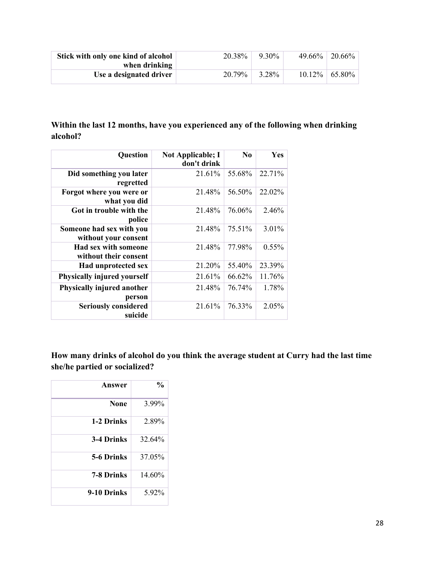| Stick with only one kind of alcohol<br>when drinking | 20.38% | 9.30% | $49.66\%$   20.66% |
|------------------------------------------------------|--------|-------|--------------------|
| Use a designated driver                              | 20.79% | 3.28% | $10.12\%$   65.80% |

## **Within the last 12 months, have you experienced any of the following when drinking alcohol?**

| Question                                         | <b>Not Applicable; I</b><br>don't drink | N <sub>0</sub> | Yes      |
|--------------------------------------------------|-----------------------------------------|----------------|----------|
| Did something you later<br>regretted             | 21.61%                                  | 55.68%         | 22.71%   |
| Forgot where you were or<br>what you did         | 21.48%                                  | 56.50%         | 22.02%   |
| Got in trouble with the<br>police                | 21.48%                                  | 76.06%         | 2.46%    |
| Someone had sex with you<br>without your consent | 21.48%                                  | 75.51%         | 3.01%    |
| Had sex with someone<br>without their consent    | 21.48%                                  | 77.98%         | $0.55\%$ |
| Had unprotected sex                              | 21.20%                                  | 55.40%         | 23.39%   |
| <b>Physically injured yourself</b>               | 21.61%                                  | 66.62%         | 11.76%   |
| Physically injured another<br>person             | 21.48%                                  | 76.74%         | 1.78%    |
| <b>Seriously considered</b><br>suicide           | 21.61%                                  | 76.33%         | 2.05%    |

**How many drinks of alcohol do you think the average student at Curry had the last time she/he partied or socialized?**

| Answer      | $\frac{0}{0}$ |
|-------------|---------------|
| <b>None</b> | 3.99%         |
| 1-2 Drinks  | 2.89%         |
| 3-4 Drinks  | 32.64%        |
| 5-6 Drinks  | 37.05%        |
| 7-8 Drinks  | 14.60%        |
| 9-10 Drinks | 5.92%         |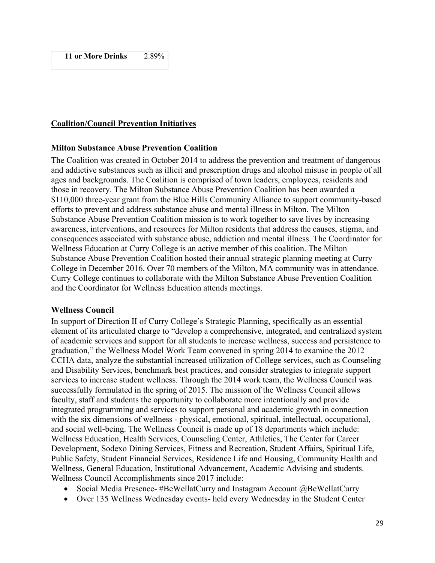#### **Coalition/Council Prevention Initiatives**

#### **Milton Substance Abuse Prevention Coalition**

The Coalition was created in October 2014 to address the prevention and treatment of dangerous and addictive substances such as illicit and prescription drugs and alcohol misuse in people of all ages and backgrounds. The Coalition is comprised of town leaders, employees, residents and those in recovery. The Milton Substance Abuse Prevention Coalition has been awarded a \$110,000 three-year grant from the Blue Hills Community Alliance to support community-based efforts to prevent and address substance abuse and mental illness in Milton. The Milton Substance Abuse Prevention Coalition mission is to work together to save lives by increasing awareness, interventions, and resources for Milton residents that address the causes, stigma, and consequences associated with substance abuse, addiction and mental illness. The Coordinator for Wellness Education at Curry College is an active member of this coalition. The Milton Substance Abuse Prevention Coalition hosted their annual strategic planning meeting at Curry College in December 2016. Over 70 members of the Milton, MA community was in attendance. Curry College continues to collaborate with the Milton Substance Abuse Prevention Coalition and the Coordinator for Wellness Education attends meetings.

#### **Wellness Council**

In support of Direction II of Curry College's Strategic Planning, specifically as an essential element of its articulated charge to "develop a comprehensive, integrated, and centralized system of academic services and support for all students to increase wellness, success and persistence to graduation," the Wellness Model Work Team convened in spring 2014 to examine the 2012 CCHA data, analyze the substantial increased utilization of College services, such as Counseling and Disability Services, benchmark best practices, and consider strategies to integrate support services to increase student wellness. Through the 2014 work team, the Wellness Council was successfully formulated in the spring of 2015. The mission of the Wellness Council allows faculty, staff and students the opportunity to collaborate more intentionally and provide integrated programming and services to support personal and academic growth in connection with the six dimensions of wellness - physical, emotional, spiritual, intellectual, occupational, and social well-being. The Wellness Council is made up of 18 departments which include: Wellness Education, Health Services, Counseling Center, Athletics, The Center for Career Development, Sodexo Dining Services, Fitness and Recreation, Student Affairs, Spiritual Life, Public Safety, Student Financial Services, Residence Life and Housing, Community Health and Wellness, General Education, Institutional Advancement, Academic Advising and students. Wellness Council Accomplishments since 2017 include:

- Social Media Presence- #BeWellatCurry and Instagram Account @BeWellatCurry
- Over 135 Wellness Wednesday events- held every Wednesday in the Student Center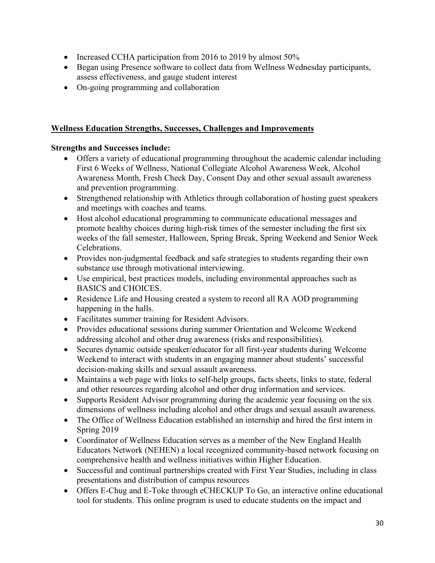- Increased CCHA participation from 2016 to 2019 by almost 50%
- Began using Presence software to collect data from Wellness Wednesday participants, assess effectiveness, and gauge student interest
- On-going programming and collaboration

#### **Wellness Education Strengths, Successes, Challenges and Improvements**

#### **Strengths and Successes include:**

- Offers a variety of educational programming throughout the academic calendar including First 6 Weeks of Wellness, National Collegiate Alcohol Awareness Week, Alcohol Awareness Month, Fresh Check Day, Consent Day and other sexual assault awareness and prevention programming.
- Strengthened relationship with Athletics through collaboration of hosting guest speakers and meetings with coaches and teams.
- Host alcohol educational programming to communicate educational messages and promote healthy choices during high-risk times of the semester including the first six weeks of the fall semester, Halloween, Spring Break, Spring Weekend and Senior Week Celebrations.
- Provides non-judgmental feedback and safe strategies to students regarding their own substance use through motivational interviewing.
- Use empirical, best practices models, including environmental approaches such as BASICS and CHOICES.
- Residence Life and Housing created a system to record all RA AOD programming happening in the halls.
- Facilitates summer training for Resident Advisors.
- Provides educational sessions during summer Orientation and Welcome Weekend addressing alcohol and other drug awareness (risks and responsibilities).
- Secures dynamic outside speaker/educator for all first-year students during Welcome Weekend to interact with students in an engaging manner about students' successful decision-making skills and sexual assault awareness.
- Maintains a web page with links to self-help groups, facts sheets, links to state, federal and other resources regarding alcohol and other drug information and services.
- Supports Resident Advisor programming during the academic year focusing on the six dimensions of wellness including alcohol and other drugs and sexual assault awareness.
- The Office of Wellness Education established an internship and hired the first intern in Spring 2019
- Coordinator of Wellness Education serves as a member of the New England Health Educators Network (NEHEN) a local recognized community-based network focusing on comprehensive health and wellness initiatives within Higher Education.
- Successful and continual partnerships created with First Year Studies, including in class presentations and distribution of campus resources
- Offers E-Chug and E-Toke through eCHECKUP To Go, an interactive online educational tool for students. This online program is used to educate students on the impact and